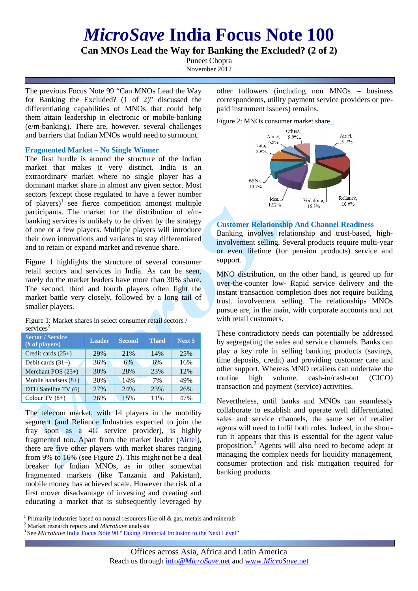# *MicroSave* **India Focus Note Note 100**

**Can MNOs Lead the Way for Banking the Excluded? Excluded? (2 of 2)**

Puneet Chopra November 2012

The previous Focus Note 99 "Can MNOs Lead the Way for Banking the Excluded? (1 of 2)" discussed the differentiating capabilities of MNOs that could help them attain leadership in electronic or mobile-banking (e/m-banking). There are, however, several challenges and barriers that Indian MNOs would need to surmount.

## **Fragmented Market – No Single Winner**

The first hurdle is around the structure of the Indian market that makes it very distinct. India is an extraordinary market where no single player has a dominant market share in almost any given sector. Most sectors (except those regulated to have a fewer number of players)<sup>1</sup> see fierce competition amongst multiple participants. The market for the distribution of e/mbanking services is unlikely to be driven by the strategy of one or a few players. Multiple players will introduce their own innovations and variants to stay differentiated and to retain or expand market and revenue share.

Figure 1 highlights the structure of several consumer retail sectors and services in India. As can be seen, rarely do the market leaders have more than 30% share. The second, third and fourth players often fight the market battle very closely, followed by a long tail of smaller players.

Figure 1: Market shares in select consumer retail sectors / services<sup>2</sup>

| <b>Sector / Service</b><br>(# of players) | <b>Leader</b> | <b>Second</b> | Third | Next 5 |
|-------------------------------------------|---------------|---------------|-------|--------|
| Credit cards $(25+)$                      | 29%           | 21%           | 14%   | 25%    |
| Debit cards $(31+)$                       | 36%           | 6%            | 6%    | 16%    |
| Merchant POS $(23+)$                      | 30%           | 28%           | 23%   | 12%    |
| Mobile handsets $(8+)$                    | 30%           | 14%           | 7%    | 49%    |
| DTH Satellite TV (6)                      | 27%           | 24%           | 23%   | 26%    |
| Colour TV $(8+)$                          | 26%           | 15%           | 11%   | 47%    |

The telecom market, with 14 players in the mobility segment (and Reliance Industries expected to join the segment (and Reliance Industries expected to join the fray soon as a 4G service provider), is highly fragmented too. Apart from the market leader (**Airtel**), there are five other players with market shares ranging from 9% to 16% (see Figure 2). This might not be a deal from 9% to 16% (see Figure 2). This might not be a deal breaker for Indian MNOs, as in other somewhat fragmented markets (like Tanzania and Pakistan), mobile money has achieved scale. However the risk of a first mover disadvantage of investing and creating and educating a market that is subsequently leveraged by other followers (including non MNOs – business correspondents, utility payment service providers or prepaid instrument issuers) remains.

Figure 2: MNOs consumer market share



## **Customer Relationship And Channel Readiness**

Banking involves relationship and trust-based, highinvolvement selling. Several products require multi-year or even lifetime (for pension products) service and support. or even lifetime (for pension products) service and<br>support.<br>MNO distribution, on the other hand, is geared up for

over-the-counter low- Rapid service delivery and the instant transaction completion does not require building trust. involvement selling. The relationships MNOs pursue are, in the main, with corporate accounts and not with retail customers.

These contradictory needs can potentially be addressed by segregating the sales and service channels. Banks can play a key role in selling banking products (savings, time deposits, credit) and providing customer care and other support. Whereas MNO retailers can undertake the routine high volume, transaction and payment (service) activities. cash-in/cash-out (CICO)

Nevertheless, until banks and MNOs can seamlessly collaborate to establish and operate well differentiated sales and service channels, the same set of retailer agents will need to fulfil both roles. Indeed, in the shortrun it appears that this is essential for the agent value proposition.<sup>3</sup> Agents will also need to become adept at managing the complex needs for liquidity management, consumer protection and risk mitigation required for banking products.

<sup>&</sup>lt;sup>1</sup> Primarily industries based on natural resources like oil & gas, metals and minerals

<sup>2</sup> Market research reports and *MicroSave* analysis

<sup>&</sup>lt;sup>3</sup> See *MicroSave* India Focus Note 90 "Taking Financial Inclusion to the Next Level"